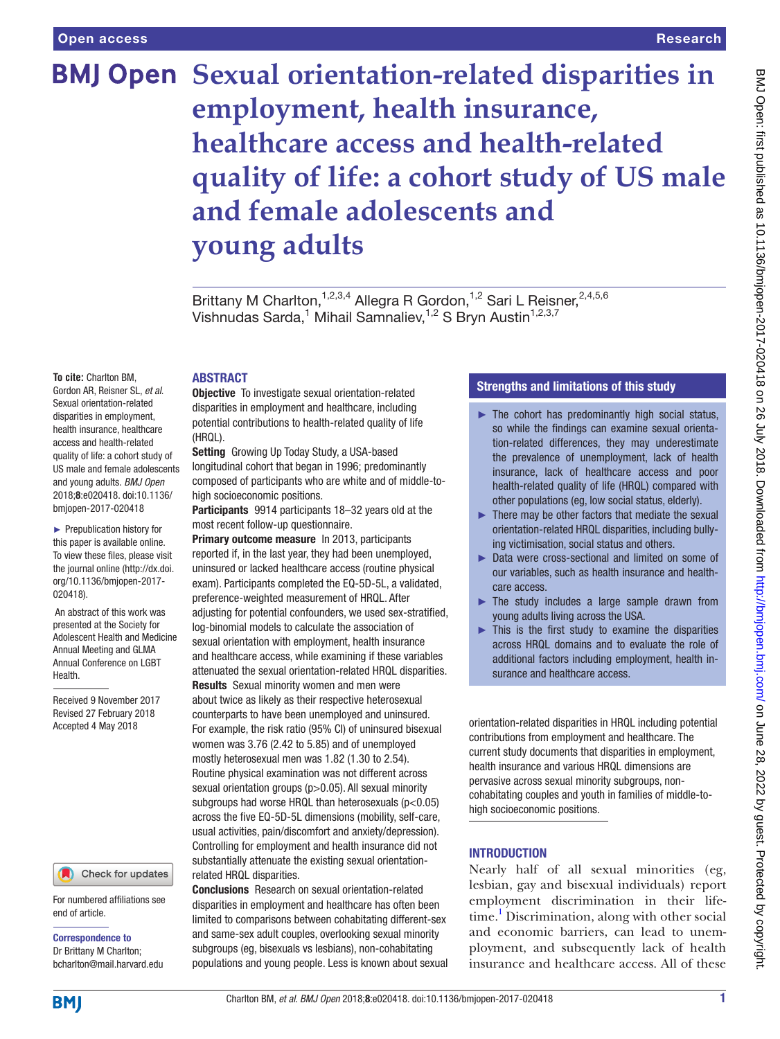# **BMJ Open Sexual orientation-related disparities in employment, health insurance, healthcare access and health-related quality of life: a cohort study of US male and female adolescents and young adults**

Brittany M Charlton, <sup>1,2,3,4</sup> Allegra R Gordon, <sup>1,2</sup> Sari L Reisner, <sup>2,4,5,6</sup> Vishnudas Sarda,<sup>1</sup> Mihail Samnaliev,<sup>1,2</sup> S Bryn Austin<sup>1,2,3,7</sup>

#### **To cite:** Charlton BM,

Gordon AR, Reisner SL, *et al*. Sexual orientation-related disparities in employment, health insurance, healthcare access and health-related quality of life: a cohort study of US male and female adolescents and young adults. *BMJ Open* 2018;8:e020418. doi:10.1136/ bmjopen-2017-020418

► Prepublication history for this paper is available online. To view these files, please visit the journal online [\(http://dx.doi.](http://dx.doi.org/10.1136/bmjopen-2017-020418) [org/10.1136/bmjopen-2017-](http://dx.doi.org/10.1136/bmjopen-2017-020418) [020418\)](http://dx.doi.org/10.1136/bmjopen-2017-020418).

An abstract of this work was presented at the Society for Adolescent Health and Medicine Annual Meeting and GLMA Annual Conference on LGBT Health.

Received 9 November 2017 Revised 27 February 2018 Accepted 4 May 2018

# Check for updates

For numbered affiliations see end of article.

Correspondence to Dr Brittany M Charlton; bcharlton@mail.harvard.edu

# **ABSTRACT**

**Objective** To investigate sexual orientation-related disparities in employment and healthcare, including potential contributions to health-related quality of life (HRQL).

**Setting** Growing Up Today Study, a USA-based longitudinal cohort that began in 1996; predominantly composed of participants who are white and of middle-tohigh socioeconomic positions.

Participants 9914 participants 18-32 years old at the most recent follow-up questionnaire.

Primary outcome measure In 2013, participants reported if, in the last year, they had been unemployed, uninsured or lacked healthcare access (routine physical exam). Participants completed the EQ-5D-5L, a validated, preference-weighted measurement of HRQL. After adjusting for potential confounders, we used sex-stratified, log-binomial models to calculate the association of sexual orientation with employment, health insurance and healthcare access, while examining if these variables attenuated the sexual orientation-related HRQL disparities. Results Sexual minority women and men were about twice as likely as their respective heterosexual counterparts to have been unemployed and uninsured.

For example, the risk ratio (95% CI) of uninsured bisexual women was 3.76 (2.42 to 5.85) and of unemployed mostly heterosexual men was 1.82 (1.30 to 2.54). Routine physical examination was not different across sexual orientation groups (p>0.05). All sexual minority subgroups had worse HRQL than heterosexuals (p<0.05) across the five EQ-5D-5L dimensions (mobility, self-care, usual activities, pain/discomfort and anxiety/depression). Controlling for employment and health insurance did not substantially attenuate the existing sexual orientationrelated HRQL disparities.

Conclusions Research on sexual orientation-related disparities in employment and healthcare has often been limited to comparisons between cohabitating different-sex and same-sex adult couples, overlooking sexual minority subgroups (eg, bisexuals vs lesbians), non-cohabitating populations and young people. Less is known about sexual

# Strengths and limitations of this study

- $\blacktriangleright$  The cohort has predominantly high social status, so while the findings can examine sexual orientation-related differences, they may underestimate the prevalence of unemployment, lack of health insurance, lack of healthcare access and poor health-related quality of life (HRQL) compared with other populations (eg, low social status, elderly).
- ► There may be other factors that mediate the sexual orientation-related HRQL disparities, including bullying victimisation, social status and others.
- ► Data were cross-sectional and limited on some of our variables, such as health insurance and healthcare access.
- ► The study includes a large sample drawn from young adults living across the USA.
- $\blacktriangleright$  This is the first study to examine the disparities across HRQL domains and to evaluate the role of additional factors including employment, health insurance and healthcare access.

orientation-related disparities in HRQL including potential contributions from employment and healthcare. The current study documents that disparities in employment, health insurance and various HRQL dimensions are pervasive across sexual minority subgroups, noncohabitating couples and youth in families of middle-tohigh socioeconomic positions.

### **INTRODUCTION**

Nearly half of all sexual minorities (eg, lesbian, gay and bisexual individuals) report employment discrimination in their life-time.<sup>[1](#page-7-0)</sup> Discrimination, along with other social and economic barriers, can lead to unemployment, and subsequently lack of health insurance and healthcare access. All of these

**BMI**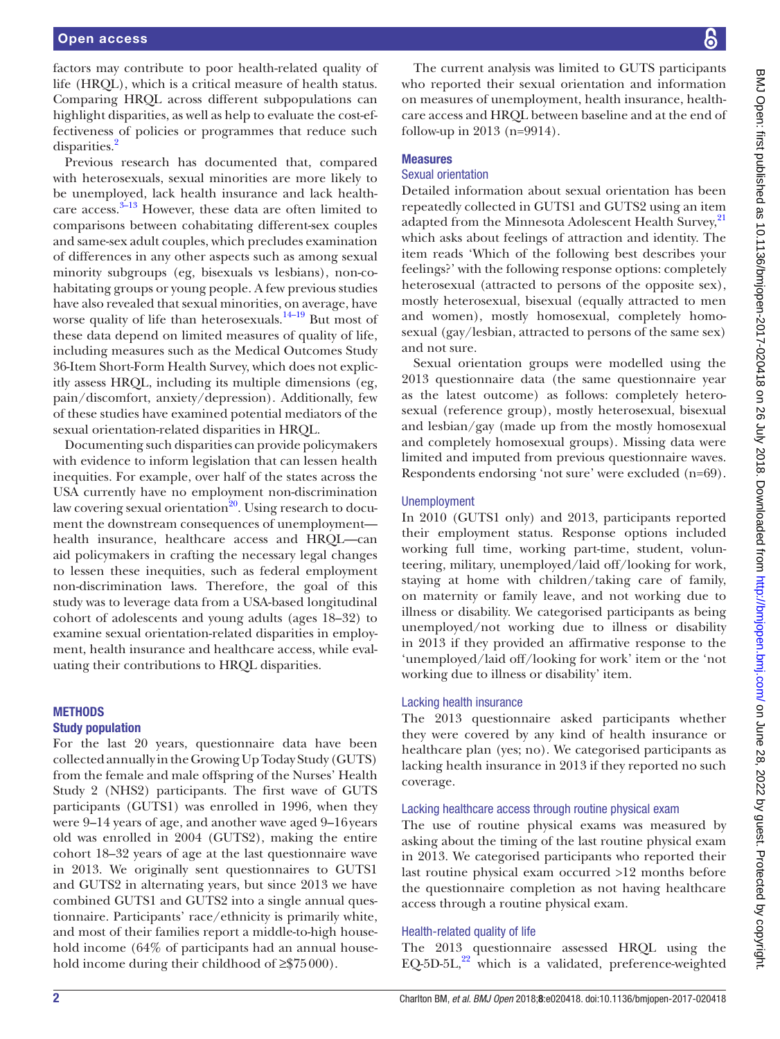factors may contribute to poor health-related quality of life (HRQL), which is a critical measure of health status. Comparing HRQL across different subpopulations can highlight disparities, as well as help to evaluate the cost-effectiveness of policies or programmes that reduce such disparities.<sup>2</sup>

Previous research has documented that, compared with heterosexuals, sexual minorities are more likely to be unemployed, lack health insurance and lack healthcare access.<sup>3-13</sup> However, these data are often limited to comparisons between cohabitating different-sex couples and same-sex adult couples, which precludes examination of differences in any other aspects such as among sexual minority subgroups (eg, bisexuals vs lesbians), non-cohabitating groups or young people. A few previous studies have also revealed that sexual minorities, on average, have worse quality of life than heterosexuals. $14-19$  But most of these data depend on limited measures of quality of life, including measures such as the Medical Outcomes Study 36-Item Short-Form Health Survey, which does not explicitly assess HRQL, including its multiple dimensions (eg, pain/discomfort, anxiety/depression). Additionally, few of these studies have examined potential mediators of the sexual orientation-related disparities in HRQL.

Documenting such disparities can provide policymakers with evidence to inform legislation that can lessen health inequities. For example, over half of the states across the USA currently have no employment non-discrimination law covering sexual orientation $^{20}$ . Using research to document the downstream consequences of unemployment health insurance, healthcare access and HRQL—can aid policymakers in crafting the necessary legal changes to lessen these inequities, such as federal employment non-discrimination laws. Therefore, the goal of this study was to leverage data from a USA-based longitudinal cohort of adolescents and young adults (ages 18–32) to examine sexual orientation-related disparities in employment, health insurance and healthcare access, while evaluating their contributions to HRQL disparities.

#### **METHODS**

#### Study population

For the last 20 years, questionnaire data have been collected annually in the Growing Up Today Study (GUTS) from the female and male offspring of the Nurses' Health Study 2 (NHS2) participants. The first wave of GUTS participants (GUTS1) was enrolled in 1996, when they were 9–14 years of age, and another wave aged 9–16years old was enrolled in 2004 (GUTS2), making the entire cohort 18–32 years of age at the last questionnaire wave in 2013. We originally sent questionnaires to GUTS1 and GUTS2 in alternating years, but since 2013 we have combined GUTS1 and GUTS2 into a single annual questionnaire. Participants' race/ethnicity is primarily white, and most of their families report a middle-to-high household income (64% of participants had an annual household income during their childhood of ≥\$75000).

The current analysis was limited to GUTS participants who reported their sexual orientation and information on measures of unemployment, health insurance, healthcare access and HRQL between baseline and at the end of follow-up in 2013 (n=9914).

#### Measures

## Sexual orientation

Detailed information about sexual orientation has been repeatedly collected in GUTS1 and GUTS2 using an item adapted from the Minnesota Adolescent Health Survey,<sup>[21](#page-7-5)</sup> which asks about feelings of attraction and identity. The item reads 'Which of the following best describes your feelings?' with the following response options: completely heterosexual (attracted to persons of the opposite sex), mostly heterosexual, bisexual (equally attracted to men and women), mostly homosexual, completely homosexual (gay/lesbian, attracted to persons of the same sex) and not sure.

Sexual orientation groups were modelled using the 2013 questionnaire data (the same questionnaire year as the latest outcome) as follows: completely heterosexual (reference group), mostly heterosexual, bisexual and lesbian/gay (made up from the mostly homosexual and completely homosexual groups). Missing data were limited and imputed from previous questionnaire waves. Respondents endorsing 'not sure' were excluded (n=69).

#### Unemployment

In 2010 (GUTS1 only) and 2013, participants reported their employment status. Response options included working full time, working part-time, student, volunteering, military, unemployed/laid off/looking for work, staying at home with children/taking care of family, on maternity or family leave, and not working due to illness or disability. We categorised participants as being unemployed/not working due to illness or disability in 2013 if they provided an affirmative response to the 'unemployed/laid off/looking for work' item or the 'not working due to illness or disability' item.

#### Lacking health insurance

The 2013 questionnaire asked participants whether they were covered by any kind of health insurance or healthcare plan (yes; no). We categorised participants as lacking health insurance in 2013 if they reported no such coverage.

#### Lacking healthcare access through routine physical exam

The use of routine physical exams was measured by asking about the timing of the last routine physical exam in 2013. We categorised participants who reported their last routine physical exam occurred >12 months before the questionnaire completion as not having healthcare access through a routine physical exam.

### Health-related quality of life

The 2013 questionnaire assessed HRQL using the EQ-5D-5L, $^{22}$  $^{22}$  $^{22}$  which is a validated, preference-weighted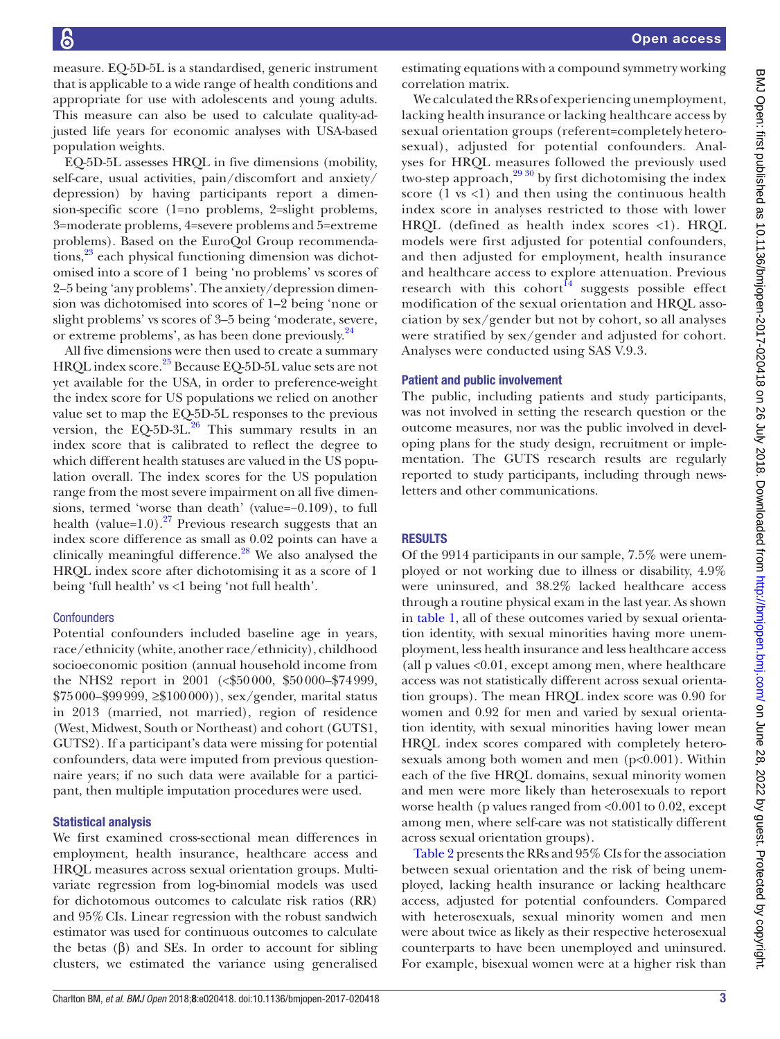Open access

measure. EQ-5D-5L is a standardised, generic instrument that is applicable to a wide range of health conditions and appropriate for use with adolescents and young adults. This measure can also be used to calculate quality-adjusted life years for economic analyses with USA-based population weights.

EQ-5D-5L assesses HRQL in five dimensions (mobility, self-care, usual activities, pain/discomfort and anxiety/ depression) by having participants report a dimension-specific score (1=no problems, 2=slight problems, 3=moderate problems, 4=severe problems and 5=extreme problems). Based on the EuroQol Group recommendations,<sup>23</sup> each physical functioning dimension was dichotomised into a score of 1 being 'no problems' vs scores of 2–5 being 'any problems'. The anxiety/depression dimension was dichotomised into scores of 1–2 being 'none or slight problems' vs scores of 3–5 being 'moderate, severe, or extreme problems', as has been done previously.<sup>24</sup>

All five dimensions were then used to create a summary HRQL index score.<sup>25</sup> Because EQ-5D-5L value sets are not yet available for the USA, in order to preference-weight the index score for US populations we relied on another value set to map the EQ-5D-5L responses to the previous version, the EQ-5D-3L. $^{26}$  This summary results in an index score that is calibrated to reflect the degree to which different health statuses are valued in the US population overall. The index scores for the US population range from the most severe impairment on all five dimensions, termed 'worse than death' (value=−0.109), to full health (value=1.0).<sup>[27](#page-8-1)</sup> Previous research suggests that an index score difference as small as 0.02 points can have a clinically meaningful difference. $28$  We also analysed the HRQL index score after dichotomising it as a score of 1 being 'full health' vs <1 being 'not full health'.

#### **Confounders**

Potential confounders included baseline age in years, race/ethnicity (white, another race/ethnicity), childhood socioeconomic position (annual household income from the NHS2 report in 2001 (<\$50000, \$50000–\$74999, \$75000–\$99999, ≥\$100000)), sex/gender, marital status in 2013 (married, not married), region of residence (West, Midwest, South or Northeast) and cohort (GUTS1, GUTS2). If a participant's data were missing for potential confounders, data were imputed from previous questionnaire years; if no such data were available for a participant, then multiple imputation procedures were used.

#### Statistical analysis

We first examined cross-sectional mean differences in employment, health insurance, healthcare access and HRQL measures across sexual orientation groups. Multivariate regression from log-binomial models was used for dichotomous outcomes to calculate risk ratios (RR) and 95%CIs. Linear regression with the robust sandwich estimator was used for continuous outcomes to calculate the betas  $(β)$  and SEs. In order to account for sibling clusters, we estimated the variance using generalised estimating equations with a compound symmetry working correlation matrix.

We calculated the RRs of experiencing unemployment, lacking health insurance or lacking healthcare access by sexual orientation groups (referent=completely heterosexual), adjusted for potential confounders. Analyses for HRQL measures followed the previously used two-step approach, $^{29\,30}$  by first dichotomising the index score  $(1 \text{ vs } < 1)$  and then using the continuous health index score in analyses restricted to those with lower HRQL (defined as health index scores <1). HRQL models were first adjusted for potential confounders, and then adjusted for employment, health insurance and healthcare access to explore attenuation. Previous research with this cohort<sup>[14](#page-7-3)</sup> suggests possible effect modification of the sexual orientation and HRQL association by sex/gender but not by cohort, so all analyses were stratified by sex/gender and adjusted for cohort. Analyses were conducted using SAS V.9.3.

#### Patient and public involvement

The public, including patients and study participants, was not involved in setting the research question or the outcome measures, nor was the public involved in developing plans for the study design, recruitment or implementation. The GUTS research results are regularly reported to study participants, including through newsletters and other communications.

### **RESULTS**

Of the 9914 participants in our sample, 7.5% were unemployed or not working due to illness or disability, 4.9% were uninsured, and 38.2% lacked healthcare access through a routine physical exam in the last year. As shown in [table](#page-3-0) 1, all of these outcomes varied by sexual orientation identity, with sexual minorities having more unemployment, less health insurance and less healthcare access (all p values <0.01, except among men, where healthcare access was not statistically different across sexual orientation groups). The mean HRQL index score was 0.90 for women and 0.92 for men and varied by sexual orientation identity, with sexual minorities having lower mean HRQL index scores compared with completely heterosexuals among both women and men  $(p<0.001)$ . Within each of the five HRQL domains, sexual minority women and men were more likely than heterosexuals to report worse health (p values ranged from <0.001 to 0.02, except among men, where self-care was not statistically different across sexual orientation groups).

Table 2 presents the RRs and 95% CIs for the association between sexual orientation and the risk of being unemployed, lacking health insurance or lacking healthcare access, adjusted for potential confounders. Compared with heterosexuals, sexual minority women and men were about twice as likely as their respective heterosexual counterparts to have been unemployed and uninsured. For example, bisexual women were at a higher risk than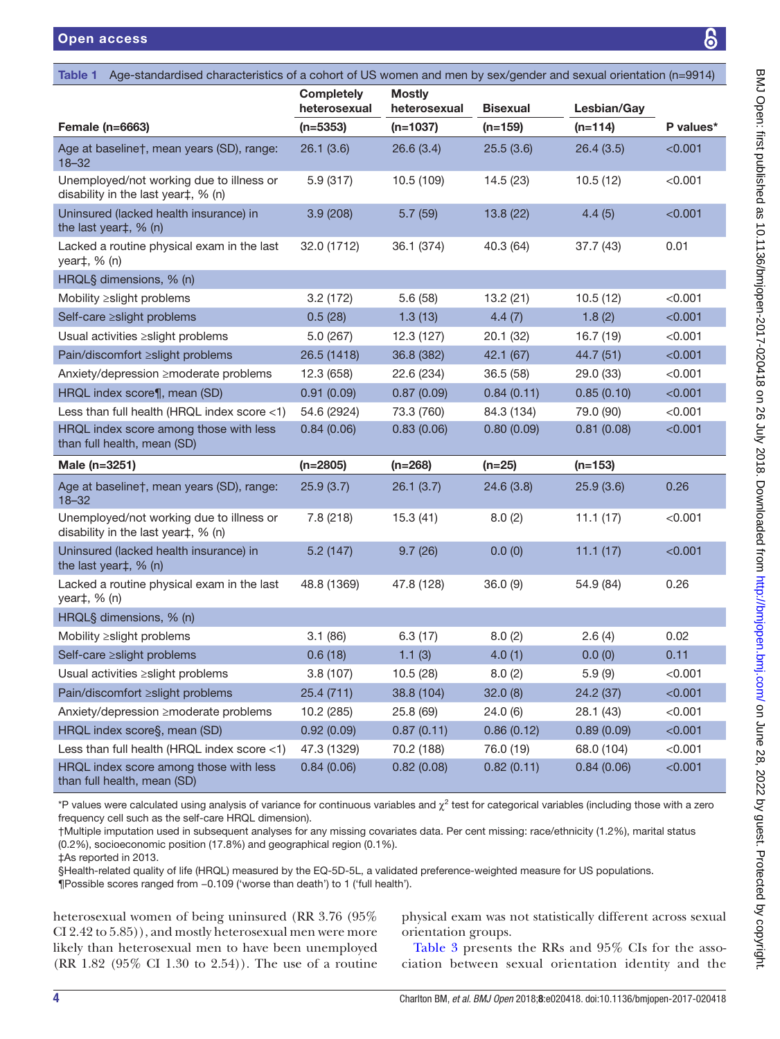<span id="page-3-0"></span>

| Open access                                                                                                                      |                                                                    |            |                 |             | ၆            |  |
|----------------------------------------------------------------------------------------------------------------------------------|--------------------------------------------------------------------|------------|-----------------|-------------|--------------|--|
|                                                                                                                                  |                                                                    |            |                 |             |              |  |
| <b>Table 1</b><br>Age-standardised characteristics of a cohort of US women and men by sex/gender and sexual orientation (n=9914) |                                                                    |            |                 |             |              |  |
|                                                                                                                                  | <b>Mostly</b><br><b>Completely</b><br>heterosexual<br>heterosexual |            | <b>Bisexual</b> | Lesbian/Gay |              |  |
| <b>Female (n=6663)</b>                                                                                                           | (n=5353)                                                           | (n=1037)   | (n=159)         | $(n=114)$   | P values*    |  |
| Age at baseline†, mean years (SD), range:<br>$18 - 32$                                                                           | 26.1(3.6)                                                          | 26.6 (3.4) | 25.5(3.6)       | 26.4(3.5)   | < 0.001      |  |
| Unemployed/not working due to illness or<br>disability in the last year‡, % (n)                                                  | 5.9 (317)                                                          | 10.5 (109) | 14.5 (23)       | 10.5(12)    | < 0.001      |  |
| Uninsured (lacked health insurance) in<br>the last year‡, % (n)                                                                  | 3.9(208)                                                           | 5.7(59)    | 13.8(22)        | 4.4(5)      | < 0.001      |  |
| Lacked a routine physical exam in the last<br>year $\ddagger$ , % (n)                                                            | 32.0 (1712)                                                        | 36.1 (374) | 40.3 (64)       | 37.7 (43)   | 0.01         |  |
| HRQL§ dimensions, % (n)                                                                                                          |                                                                    |            |                 |             |              |  |
| Mobility ≥slight problems                                                                                                        | 3.2(172)                                                           | 5.6(58)    | 13.2(21)        | 10.5(12)    | < 0.001      |  |
| Self-care ≥slight problems                                                                                                       | 0.5(28)                                                            | 1.3(13)    | 4.4(7)          | 1.8(2)      | < 0.001      |  |
| Usual activities ≥slight problems                                                                                                | 5.0 (267)                                                          | 12.3 (127) | 20.1 (32)       | 16.7(19)    | < 0.001      |  |
| Pain/discomfort ≥slight problems                                                                                                 | 26.5 (1418)                                                        | 36.8 (382) | 42.1 (67)       | 44.7 (51)   | < 0.001      |  |
| Anxiety/depression ≥moderate problems                                                                                            | 12.3 (658)                                                         | 22.6 (234) | 36.5(58)        | 29.0 (33)   | $<$ 0.001    |  |
| HRQL index score¶, mean (SD)                                                                                                     | 0.91(0.09)                                                         | 0.87(0.09) | 0.84(0.11)      | 0.85(0.10)  | < 0.001      |  |
| Less than full health (HRQL index score <1)                                                                                      | 54.6 (2924)                                                        | 73.3 (760) | 84.3 (134)      | 79.0 (90)   | < 0.001      |  |
| HRQL index score among those with less<br>than full health, mean (SD)                                                            | 0.84(0.06)                                                         | 0.83(0.06) | 0.80(0.09)      | 0.81(0.08)  | < 0.001      |  |
| Male (n=3251)                                                                                                                    | $(n=2805)$                                                         | $(n=268)$  | (n=25)          | (n=153)     |              |  |
| Age at baseline†, mean years (SD), range:<br>$18 - 32$                                                                           | 25.9(3.7)                                                          | 26.1(3.7)  | 24.6(3.8)       | 25.9(3.6)   | 0.26         |  |
| Unemployed/not working due to illness or<br>disability in the last year‡, % (n)                                                  | 7.8(218)                                                           | 15.3(41)   | 8.0(2)          | 11.1(17)    | < 0.001      |  |
| Uninsured (lacked health insurance) in<br>the last year‡, % (n)                                                                  | 5.2(147)                                                           | 9.7(26)    | 0.0(0)          | 11.1(17)    | < 0.001      |  |
| Lacked a routine physical exam in the last<br>year‡, % (n)                                                                       | 48.8 (1369)                                                        | 47.8 (128) | 36.0(9)         | 54.9 (84)   | 0.26         |  |
| HRQL§ dimensions, % (n)                                                                                                          |                                                                    |            |                 |             |              |  |
| Mobility ≥slight problems                                                                                                        | 3.1(86)                                                            | 6.3(17)    | 8.0(2)          | 2.6(4)      | 0.02         |  |
| Self-care ≥slight problems                                                                                                       | 0.6(18)                                                            | 1.1(3)     | 4.0(1)          | 0.0(0)      | 0.11         |  |
| Usual activities ≥slight problems                                                                                                | 3.8(107)                                                           | 10.5 (28)  | 8.0(2)          | 5.9(9)      | < 0.001      |  |
| Dain/discomfort Selight problems                                                                                                 | 251/711                                                            | 38 8 (104) | 320(8)          | 21212       | $\sim$ 0.011 |  |

Pain/discomfort ≥slight problems 25.4 (711) 38.8 (104) 32.0 (8) 24.2 (37) <0.001 Anxiety/depression ≥moderate problems 10.2 (285) 25.8 (69) 24.0 (6) 28.1 (43) <0.001 HRQL index score§, mean (SD)  $0.92 (0.09)$   $0.87 (0.11)$   $0.86 (0.12)$   $0.89 (0.09)$  <0.001 Less than full health (HRQL index score <1) 47.3 (1329) 70.2 (188) 76.0 (19) 68.0 (104) <0.001 HRQL index score among those with less than full health, mean (SD)  $0.84 (0.06)$   $0.82 (0.08)$   $0.82 (0.11)$   $0.84 (0.06)$  <0.001

\*P values were calculated using analysis of variance for continuous variables and  $\chi^2$  test for categorical variables (including those with a zero frequency cell such as the self-care HRQL dimension).

†Multiple imputation used in subsequent analyses for any missing covariates data. Per cent missing: race/ethnicity (1.2%), marital status (0.2%), socioeconomic position (17.8%) and geographical region (0.1%).

‡As reported in 2013.

§Health-related quality of life (HRQL) measured by the EQ-5D-5L, a validated preference-weighted measure for US populations.

¶Possible scores ranged from −0.109 ('worse than death') to 1 ('full health').

heterosexual women of being uninsured (RR 3.76 (95% CI 2.42 to 5.85)), and mostly heterosexual men were more likely than heterosexual men to have been unemployed (RR 1.82 (95% CI 1.30 to 2.54)). The use of a routine

physical exam was not statistically different across sexual orientation groups.

[Table](#page-4-0) 3 presents the RRs and 95% CIs for the association between sexual orientation identity and the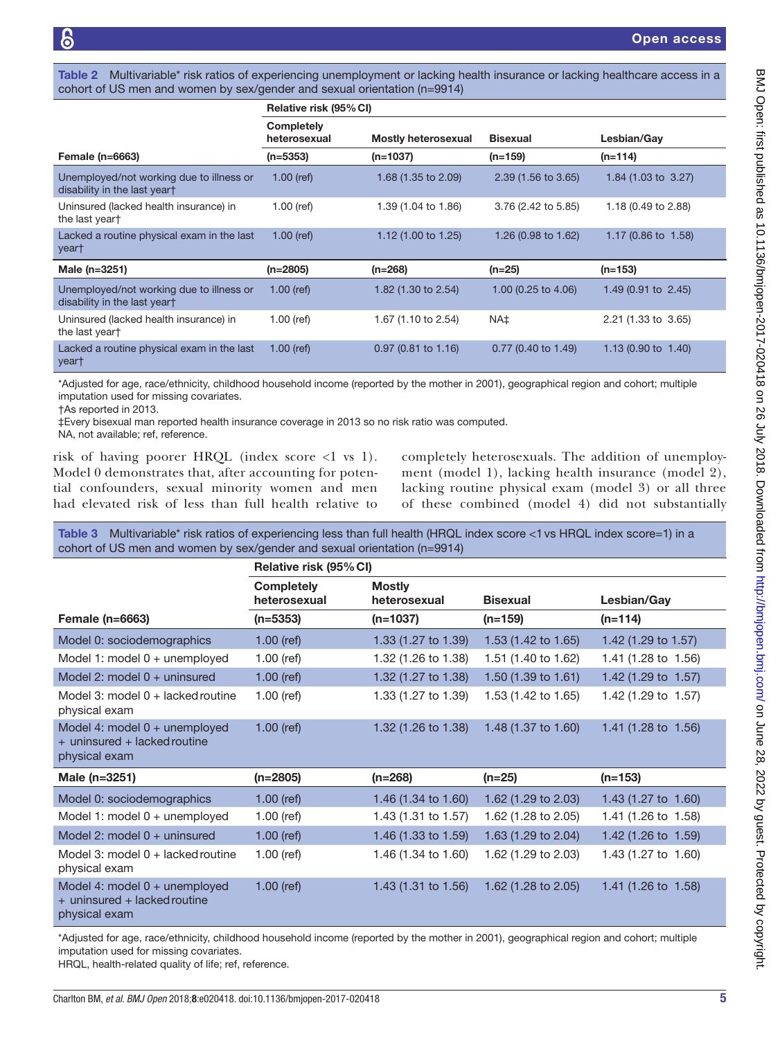Table 2 Multivariable<sup>\*</sup> risk ratios of experiencing unemployment or lacking health insurance or lacking healthcare access in a cohort of US men and women by sex/gender and sexual orientation (n=9914)

|                                                                          | Relative risk (95% CI)     |                            |                       |                                |  |
|--------------------------------------------------------------------------|----------------------------|----------------------------|-----------------------|--------------------------------|--|
|                                                                          | Completely<br>heterosexual | <b>Mostly heterosexual</b> | <b>Bisexual</b>       |                                |  |
| Female $(n=6663)$                                                        | $(n=5353)$                 | (n=1037)                   | $(n=159)$             | $(n=114)$                      |  |
| Unemployed/not working due to illness or<br>disability in the last yeart | $1.00$ (ref)               | $1.68$ (1.35 to 2.09)      | 2.39 (1.56 to 3.65)   | 1.84 (1.03 to 3.27)            |  |
| Uninsured (lacked health insurance) in<br>the last yeart                 | $1.00$ (ref)               | 1.39 (1.04 to 1.86)        | 3.76 (2.42 to 5.85)   | 1.18 (0.49 to 2.88)            |  |
| Lacked a routine physical exam in the last<br>year†                      | $1.00$ (ref)               | 1.12 (1.00 to 1.25)        | 1.26 (0.98 to 1.62)   | 1.17 (0.86 to 1.58)            |  |
| Male (n=3251)                                                            | $(n=2805)$                 | (n=268)                    | $(n=25)$              | $(n=153)$                      |  |
| Unemployed/not working due to illness or<br>disability in the last yeart | $1.00$ (ref)               | 1.82 (1.30 to 2.54)        | 1.00 (0.25 to 4.06)   | 1.49 (0.91 to $2.45$ )         |  |
| Uninsured (lacked health insurance) in<br>the last yeart                 | $1.00$ (ref)               | 1.67 (1.10 to 2.54)        | NA‡                   | 2.21 (1.33 to 3.65)            |  |
| Lacked a routine physical exam in the last<br>year†                      | $1.00$ (ref)               | $0.97$ (0.81 to 1.16)      | $0.77$ (0.40 to 1.49) | 1.13 $(0.90 \text{ to } 1.40)$ |  |

\*Adjusted for age, race/ethnicity, childhood household income (reported by the mother in 2001), geographical region and cohort; multiple imputation used for missing covariates.

†As reported in 2013.

‡Every bisexual man reported health insurance coverage in 2013 so no risk ratio was computed.

NA, not available; ref, reference.

risk of having poorer HRQL (index score <1 vs 1). Model 0 demonstrates that, after accounting for potential confounders, sexual minority women and men had elevated risk of less than full health relative to completely heterosexuals. The addition of unemployment (model 1), lacking health insurance (model 2), lacking routine physical exam (model 3) or all three of these combined (model 4) did not substantially

<span id="page-4-0"></span>Table 3 Multivariable\* risk ratios of experiencing less than full health (HRQL index score <1vs HRQL index score=1) in a cohort of US men and women by sex/gender and sexual orientation (n=9914)

|                                                                                  | Relative risk (95% CI)            |                                |                                |                                |  |
|----------------------------------------------------------------------------------|-----------------------------------|--------------------------------|--------------------------------|--------------------------------|--|
|                                                                                  | <b>Completely</b><br>heterosexual | <b>Mostly</b><br>heterosexual  | <b>Bisexual</b>                | Lesbian/Gay                    |  |
| Female $(n=6663)$                                                                | $(n=5353)$                        | $(n=1037)$                     | $(n=159)$                      | $(n=114)$                      |  |
| Model 0: sociodemographics                                                       | $1.00$ (ref)                      | 1.33 (1.27 to 1.39)            | 1.53 (1.42 to 1.65)            | 1.42 (1.29 to 1.57)            |  |
| Model 1: model $0 +$ unemployed                                                  | $1.00$ (ref)                      | 1.32 (1.26 to 1.38)            | 1.51 (1.40 to 1.62)            | 1.41 (1.28 to 1.56)            |  |
| Model 2: model $0 +$ uninsured                                                   | $1.00$ (ref)                      | 1.32 (1.27 to 1.38)            | 1.50 $(1.39 \text{ to } 1.61)$ | 1.42 (1.29 to 1.57)            |  |
| Model 3: model $0 +$ lacked routine<br>physical exam                             | $1.00$ (ref)                      | 1.33 (1.27 to 1.39)            | 1.53 (1.42 to 1.65)            | 1.42 (1.29 to 1.57)            |  |
| Model 4: model $0 +$ unemployed<br>+ uninsured + lacked routine<br>physical exam | $1.00$ (ref)                      | 1.32 (1.26 to 1.38)            | 1.48 (1.37 to 1.60)            | 1.41 (1.28 to 1.56)            |  |
| Male (n=3251)                                                                    | $(n=2805)$                        | $(n=268)$                      | $(n=25)$                       | $(n=153)$                      |  |
| Model 0: sociodemographics                                                       | $1.00$ (ref)                      | 1.46 $(1.34 \text{ to } 1.60)$ | 1.62 (1.29 to 2.03)            | 1.43 $(1.27 \text{ to } 1.60)$ |  |
| Model 1: model $0 +$ unemployed                                                  | $1.00$ (ref)                      | 1.43 (1.31 to 1.57)            | 1.62 (1.28 to 2.05)            | 1.41 (1.26 to 1.58)            |  |
| Model 2: model $0 +$ uninsured                                                   | $1.00$ (ref)                      | 1.46 (1.33 to 1.59)            | 1.63 (1.29 to 2.04)            | 1.42 (1.26 to 1.59)            |  |
| Model 3: model $0 +$ lacked routine<br>physical exam                             | $1.00$ (ref)                      | 1.46 (1.34 to 1.60)            | 1.62 (1.29 to 2.03)            | 1.43 (1.27 to 1.60)            |  |
| Model 4: model 0 + unemployed<br>+ uninsured + lacked routine<br>physical exam   | $1.00$ (ref)                      | 1.43 (1.31 to 1.56)            | 1.62 (1.28 to 2.05)            | $1.41(1.26 \text{ to } 1.58)$  |  |

\*Adjusted for age, race/ethnicity, childhood household income (reported by the mother in 2001), geographical region and cohort; multiple imputation used for missing covariates.

HRQL, health-related quality of life; ref, reference.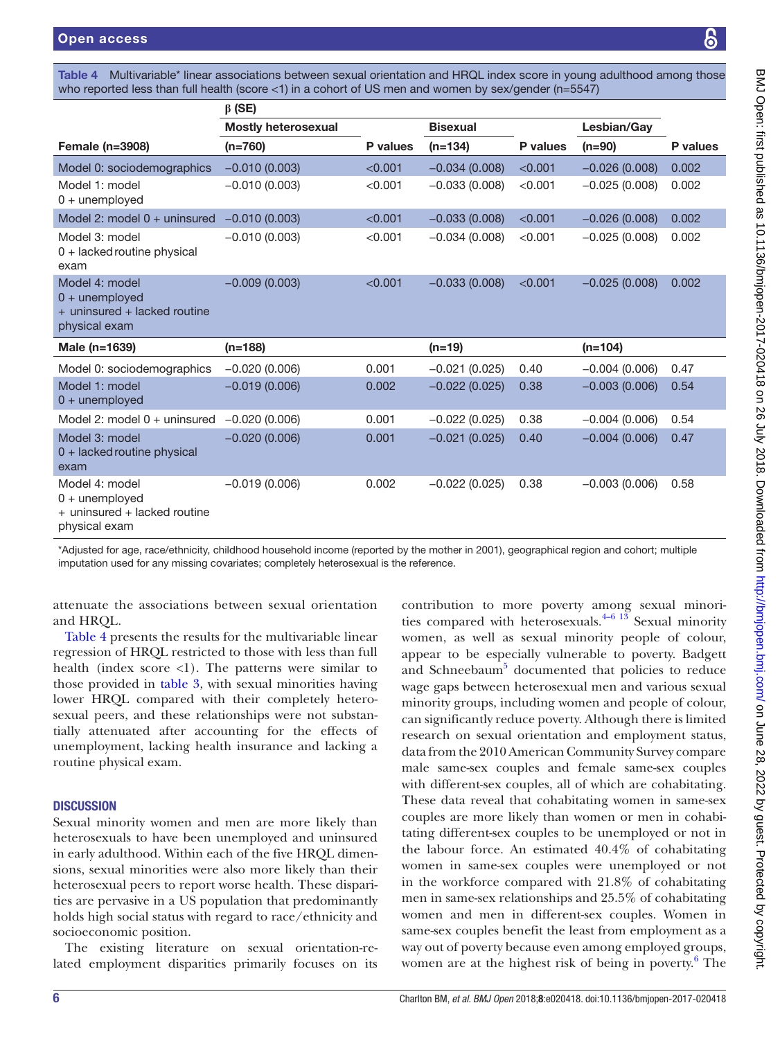<span id="page-5-0"></span>Table 4 Multivariable\* linear associations between sexual orientation and HRQL index score in young adulthood among those who reported less than full health (score <1) in a cohort of US men and women by sex/gender (n=5547)

|                                                                                     | $\beta$ (SE)               |          |                 |          |                 |          |
|-------------------------------------------------------------------------------------|----------------------------|----------|-----------------|----------|-----------------|----------|
|                                                                                     | <b>Mostly heterosexual</b> |          | <b>Bisexual</b> |          | Lesbian/Gav     |          |
| <b>Female (n=3908)</b>                                                              | $(n=760)$                  | P values | $(n=134)$       | P values | $(n=90)$        | P values |
| Model 0: sociodemographics                                                          | $-0.010(0.003)$            | < 0.001  | $-0.034(0.008)$ | < 0.001  | $-0.026(0.008)$ | 0.002    |
| Model 1: model<br>$0 +$ unemployed                                                  | $-0.010(0.003)$            | < 0.001  | $-0.033(0.008)$ | < 0.001  | $-0.025(0.008)$ | 0.002    |
| Model 2: model $0 +$ uninsured                                                      | $-0.010(0.003)$            | < 0.001  | $-0.033(0.008)$ | < 0.001  | $-0.026(0.008)$ | 0.002    |
| Model 3: model<br>$0 +$ lacked routine physical<br>exam                             | $-0.010(0.003)$            | < 0.001  | $-0.034(0.008)$ | < 0.001  | $-0.025(0.008)$ | 0.002    |
| Model 4: model<br>$0 +$ unemployed<br>+ uninsured + lacked routine<br>physical exam | $-0.009(0.003)$            | < 0.001  | $-0.033(0.008)$ | < 0.001  | $-0.025(0.008)$ | 0.002    |
| Male (n=1639)                                                                       | $(n=188)$                  |          | $(n=19)$        |          | $(n=104)$       |          |
| Model 0: sociodemographics                                                          | $-0.020(0.006)$            | 0.001    | $-0.021(0.025)$ | 0.40     | $-0.004(0.006)$ | 0.47     |
| Model 1: model<br>$0 +$ unemployed                                                  | $-0.019(0.006)$            | 0.002    | $-0.022(0.025)$ | 0.38     | $-0.003(0.006)$ | 0.54     |
| Model 2: model $0 +$ uninsured                                                      | $-0.020(0.006)$            | 0.001    | $-0.022(0.025)$ | 0.38     | $-0.004(0.006)$ | 0.54     |
| Model 3: model<br>$0 +$ lacked routine physical<br>exam                             | $-0.020(0.006)$            | 0.001    | $-0.021(0.025)$ | 0.40     | $-0.004(0.006)$ | 0.47     |
| Model 4: model<br>$0 +$ unemployed<br>+ uninsured + lacked routine<br>physical exam | $-0.019(0.006)$            | 0.002    | $-0.022(0.025)$ | 0.38     | $-0.003(0.006)$ | 0.58     |

\*Adjusted for age, race/ethnicity, childhood household income (reported by the mother in 2001), geographical region and cohort; multiple imputation used for any missing covariates; completely heterosexual is the reference.

attenuate the associations between sexual orientation and HRQL.

[Table](#page-5-0) 4 presents the results for the multivariable linear regression of HRQL restricted to those with less than full health (index score  $\langle 1 \rangle$ ). The patterns were similar to those provided in [table](#page-4-0) 3, with sexual minorities having lower HRQL compared with their completely heterosexual peers, and these relationships were not substantially attenuated after accounting for the effects of unemployment, lacking health insurance and lacking a routine physical exam.

### **DISCUSSION**

Sexual minority women and men are more likely than heterosexuals to have been unemployed and uninsured in early adulthood. Within each of the five HRQL dimensions, sexual minorities were also more likely than their heterosexual peers to report worse health. These disparities are pervasive in a US population that predominantly holds high social status with regard to race/ethnicity and socioeconomic position.

The existing literature on sexual orientation-related employment disparities primarily focuses on its

contribution to more poverty among sexual minorities compared with heterosexuals. $4-6$  13 Sexual minority women, as well as sexual minority people of colour, appear to be especially vulnerable to poverty. Badgett and Schneebaum<sup>[5](#page-7-11)</sup> documented that policies to reduce wage gaps between heterosexual men and various sexual minority groups, including women and people of colour, can significantly reduce poverty. Although there is limited research on sexual orientation and employment status, data from the 2010 American Community Survey compare male same-sex couples and female same-sex couples with different-sex couples, all of which are cohabitating. These data reveal that cohabitating women in same-sex couples are more likely than women or men in cohabitating different-sex couples to be unemployed or not in the labour force. An estimated 40.4% of cohabitating women in same-sex couples were unemployed or not in the workforce compared with 21.8% of cohabitating men in same-sex relationships and 25.5% of cohabitating women and men in different-sex couples. Women in same-sex couples benefit the least from employment as a way out of poverty because even among employed groups, women are at the highest risk of being in poverty.<sup>[6](#page-7-12)</sup> The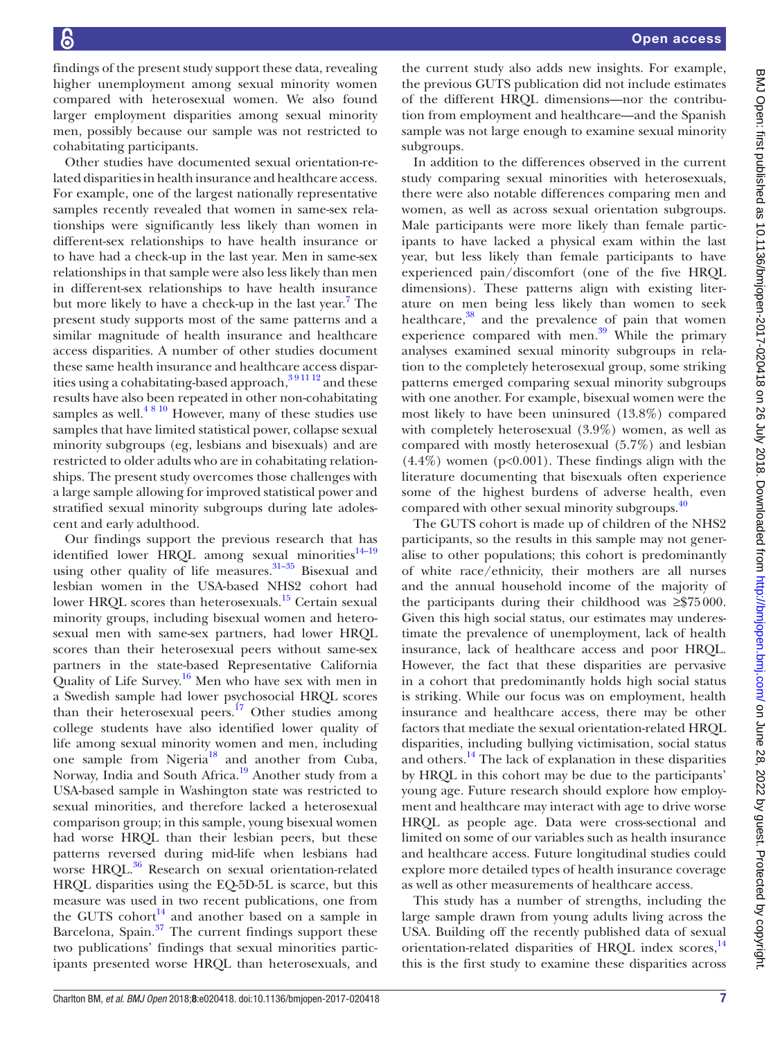Open access

findings of the present study support these data, revealing higher unemployment among sexual minority women compared with heterosexual women. We also found larger employment disparities among sexual minority men, possibly because our sample was not restricted to cohabitating participants.

Other studies have documented sexual orientation-related disparities in health insurance and healthcare access. For example, one of the largest nationally representative samples recently revealed that women in same-sex relationships were significantly less likely than women in different-sex relationships to have health insurance or to have had a check-up in the last year. Men in same-sex relationships in that sample were also less likely than men in different-sex relationships to have health insurance but more likely to have a check-up in the last year.<sup>[7](#page-7-13)</sup> The present study supports most of the same patterns and a similar magnitude of health insurance and healthcare access disparities. A number of other studies document these same health insurance and healthcare access disparities using a cohabitating-based approach,  $391112$  and these results have also been repeated in other non-cohabitating samples as well. $4810$  However, many of these studies use samples that have limited statistical power, collapse sexual minority subgroups (eg, lesbians and bisexuals) and are restricted to older adults who are in cohabitating relationships. The present study overcomes those challenges with a large sample allowing for improved statistical power and stratified sexual minority subgroups during late adolescent and early adulthood.

Our findings support the previous research that has identified lower HRQL among sexual minorities $14-19$ using other quality of life measures. $31-35$  Bisexual and lesbian women in the USA-based NHS2 cohort had lower HRQL scores than heterosexuals.<sup>15</sup> Certain sexual minority groups, including bisexual women and heterosexual men with same-sex partners, had lower HRQL scores than their heterosexual peers without same-sex partners in the state-based Representative California Quality of Life Survey.[16](#page-7-15) Men who have sex with men in a Swedish sample had lower psychosocial HRQL scores than their heterosexual peers.<sup>17</sup> Other studies among college students have also identified lower quality of life among sexual minority women and men, including one sample from Nigeria<sup>18</sup> and another from Cuba, Norway, India and South Africa.[19](#page-7-18) Another study from a USA-based sample in Washington state was restricted to sexual minorities, and therefore lacked a heterosexual comparison group; in this sample, young bisexual women had worse HRQL than their lesbian peers, but these patterns reversed during mid-life when lesbians had worse HRQL.<sup>[36](#page-8-5)</sup> Research on sexual orientation-related HRQL disparities using the EQ-5D-5L is scarce, but this measure was used in two recent publications, one from the GUTS cohort<sup>[14](#page-7-3)</sup> and another based on a sample in Barcelona, Spain.<sup>37</sup> The current findings support these two publications' findings that sexual minorities participants presented worse HRQL than heterosexuals, and

the current study also adds new insights. For example, the previous GUTS publication did not include estimates of the different HRQL dimensions—nor the contribution from employment and healthcare—and the Spanish sample was not large enough to examine sexual minority subgroups.

In addition to the differences observed in the current study comparing sexual minorities with heterosexuals, there were also notable differences comparing men and women, as well as across sexual orientation subgroups. Male participants were more likely than female participants to have lacked a physical exam within the last year, but less likely than female participants to have experienced pain/discomfort (one of the five HRQL dimensions). These patterns align with existing literature on men being less likely than women to seek healthcare,<sup>38</sup> and the prevalence of pain that women experience compared with men.<sup>39</sup> While the primary analyses examined sexual minority subgroups in relation to the completely heterosexual group, some striking patterns emerged comparing sexual minority subgroups with one another. For example, bisexual women were the most likely to have been uninsured (13.8%) compared with completely heterosexual (3.9%) women, as well as compared with mostly heterosexual (5.7%) and lesbian  $(4.4\%)$  women (p<0.001). These findings align with the literature documenting that bisexuals often experience some of the highest burdens of adverse health, even compared with other sexual minority subgroups.<sup>40</sup>

The GUTS cohort is made up of children of the NHS2 participants, so the results in this sample may not generalise to other populations; this cohort is predominantly of white race/ethnicity, their mothers are all nurses and the annual household income of the majority of the participants during their childhood was ≥\$75000. Given this high social status, our estimates may underestimate the prevalence of unemployment, lack of health insurance, lack of healthcare access and poor HRQL. However, the fact that these disparities are pervasive in a cohort that predominantly holds high social status is striking. While our focus was on employment, health insurance and healthcare access, there may be other factors that mediate the sexual orientation-related HRQL disparities, including bullying victimisation, social status and others.<sup>14</sup> The lack of explanation in these disparities by HRQL in this cohort may be due to the participants' young age. Future research should explore how employment and healthcare may interact with age to drive worse HRQL as people age. Data were cross-sectional and limited on some of our variables such as health insurance and healthcare access. Future longitudinal studies could explore more detailed types of health insurance coverage as well as other measurements of healthcare access.

This study has a number of strengths, including the large sample drawn from young adults living across the USA. Building off the recently published data of sexual orientation-related disparities of HRQL index scores,<sup>[14](#page-7-3)</sup> this is the first study to examine these disparities across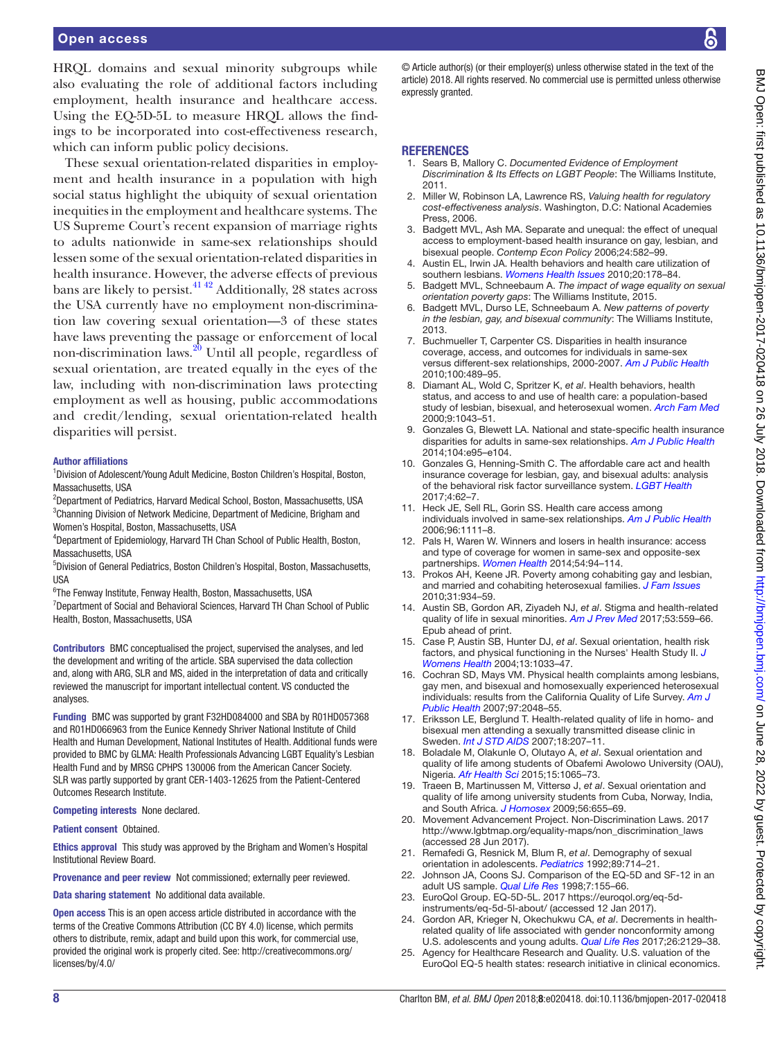#### Open access

HRQL domains and sexual minority subgroups while also evaluating the role of additional factors including employment, health insurance and healthcare access. Using the EQ-5D-5L to measure HRQL allows the findings to be incorporated into cost-effectiveness research, which can inform public policy decisions.

These sexual orientation-related disparities in employment and health insurance in a population with high social status highlight the ubiquity of sexual orientation inequities in the employment and healthcare systems. The US Supreme Court's recent expansion of marriage rights to adults nationwide in same-sex relationships should lessen some of the sexual orientation-related disparities in health insurance. However, the adverse effects of previous bans are likely to persist. $41\frac{42}{2}$  Additionally, 28 states across the USA currently have no employment non-discrimination law covering sexual orientation—3 of these states have laws preventing the passage or enforcement of local non-discrimination laws[.20](#page-7-4) Until all people, regardless of sexual orientation, are treated equally in the eyes of the law, including with non-discrimination laws protecting employment as well as housing, public accommodations and credit/lending, sexual orientation-related health disparities will persist.

#### Author affiliations

<sup>1</sup>Division of Adolescent/Young Adult Medicine, Boston Children's Hospital, Boston, Massachusetts, USA

<sup>2</sup>Department of Pediatrics, Harvard Medical School, Boston, Massachusetts, USA <sup>3</sup>Channing Division of Network Medicine, Department of Medicine, Brigham and Women's Hospital, Boston, Massachusetts, USA

4 Department of Epidemiology, Harvard TH Chan School of Public Health, Boston, Massachusetts, USA

5 Division of General Pediatrics, Boston Children's Hospital, Boston, Massachusetts, USA

6 The Fenway Institute, Fenway Health, Boston, Massachusetts, USA <sup>7</sup>Department of Social and Behavioral Sciences, Harvard TH Chan School of Public Health, Boston, Massachusetts, USA

Contributors BMC conceptualised the project, supervised the analyses, and led the development and writing of the article. SBA supervised the data collection and, along with ARG, SLR and MS, aided in the interpretation of data and critically reviewed the manuscript for important intellectual content. VS conducted the analyses.

Funding BMC was supported by grant F32HD084000 and SBA by R01HD057368 and R01HD066963 from the Eunice Kennedy Shriver National Institute of Child Health and Human Development, National Institutes of Health. Additional funds were provided to BMC by GLMA: Health Professionals Advancing LGBT Equality's Lesbian Health Fund and by MRSG CPHPS 130006 from the American Cancer Society. SLR was partly supported by grant CER-1403-12625 from the Patient-Centered Outcomes Research Institute.

#### Competing interests None declared.

Patient consent Obtained.

Ethics approval This study was approved by the Brigham and Women's Hospital Institutional Review Board.

Provenance and peer review Not commissioned; externally peer reviewed.

Data sharing statement No additional data available.

Open access This is an open access article distributed in accordance with the terms of the Creative Commons Attribution (CC BY 4.0) license, which permits others to distribute, remix, adapt and build upon this work, for commercial use, provided the original work is properly cited. See: [http://creativecommons.org/](http://creativecommons.org/licenses/by/4.0/) [licenses/by/4.0/](http://creativecommons.org/licenses/by/4.0/)

© Article author(s) (or their employer(s) unless otherwise stated in the text of the article) 2018. All rights reserved. No commercial use is permitted unless otherwise expressly granted.

#### **REFERENCES**

- <span id="page-7-0"></span>1. Sears B, Mallory C. *Documented Evidence of Employment Discrimination & Its Effects on LGBT People*: The Williams Institute, 2011.
- <span id="page-7-1"></span>2. Miller W, Robinson LA, Lawrence RS, *Valuing health for regulatory cost-effectiveness analysis*. Washington, D.C: National Academies Press, 2006.
- <span id="page-7-2"></span>3. Badgett MVL, Ash MA. Separate and unequal: the effect of unequal access to employment-based health insurance on gay, lesbian, and bisexual people. *Contemp Econ Policy* 2006;24:582–99.
- <span id="page-7-10"></span>4. Austin EL, Irwin JA. Health behaviors and health care utilization of southern lesbians. *[Womens Health Issues](http://dx.doi.org/10.1016/j.whi.2010.01.002)* 2010;20:178–84.
- <span id="page-7-11"></span>5. Badgett MVL, Schneebaum A. *The impact of wage equality on sexual orientation poverty gaps*: The Williams Institute, 2015.
- <span id="page-7-12"></span>6. Badgett MVL, Durso LE, Schneebaum A. *New patterns of poverty in the lesbian, gay, and bisexual community*: The Williams Institute, 2013.
- <span id="page-7-13"></span>7. Buchmueller T, Carpenter CS. Disparities in health insurance coverage, access, and outcomes for individuals in same-sex versus different-sex relationships, 2000-2007. *[Am J Public Health](http://dx.doi.org/10.2105/AJPH.2009.160804)* 2010;100:489–95.
- 8. Diamant AL, Wold C, Spritzer K, *et al*. Health behaviors, health status, and access to and use of health care: a population-based study of lesbian, bisexual, and heterosexual women. *[Arch Fam Med](http://dx.doi.org/10.1001/archfami.9.10.1043)* 2000;9:1043–51.
- 9. Gonzales G, Blewett LA. National and state-specific health insurance disparities for adults in same-sex relationships. *[Am J Public Health](http://dx.doi.org/10.2105/AJPH.2013.301577)* 2014;104:e95–e104.
- Gonzales G, Henning-Smith C. The affordable care act and health insurance coverage for lesbian, gay, and bisexual adults: analysis of the behavioral risk factor surveillance system. *[LGBT Health](http://dx.doi.org/10.1089/lgbt.2016.0023)* 2017;4:62–7.
- 11. Heck JE, Sell RL, Gorin SS. Health care access among individuals involved in same-sex relationships. *[Am J Public Health](http://dx.doi.org/10.2105/AJPH.2005.062661)* 2006;96:1111–8.
- 12. Pals H, Waren W. Winners and losers in health insurance: access and type of coverage for women in same-sex and opposite-sex partnerships. *[Women Health](http://dx.doi.org/10.1080/03630242.2013.870633)* 2014;54:94–114.
- 13. Prokos AH, Keene JR. Poverty among cohabiting gay and lesbian, and married and cohabiting heterosexual families. *[J Fam Issues](http://dx.doi.org/10.1177/0192513X09360176)* 2010;31:934–59.
- <span id="page-7-3"></span>14. Austin SB, Gordon AR, Ziyadeh NJ, *et al*. Stigma and health-related quality of life in sexual minorities. *[Am J Prev Med](http://dx.doi.org/10.1016/j.amepre.2017.05.007)* 2017;53:559–66. Epub ahead of print.
- <span id="page-7-14"></span>15. Case P, Austin SB, Hunter DJ, *et al*. Sexual orientation, health risk factors, and physical functioning in the Nurses' Health Study II. *[J](http://dx.doi.org/10.1089/jwh.2004.13.1033)  [Womens Health](http://dx.doi.org/10.1089/jwh.2004.13.1033)* 2004;13:1033–47.
- <span id="page-7-15"></span>16. Cochran SD, Mays VM. Physical health complaints among lesbians, gay men, and bisexual and homosexually experienced heterosexual individuals: results from the California Quality of Life Survey. *[Am J](http://dx.doi.org/10.2105/AJPH.2006.087254)  [Public Health](http://dx.doi.org/10.2105/AJPH.2006.087254)* 2007;97:2048–55.
- <span id="page-7-16"></span>17. Eriksson LE, Berglund T. Health-related quality of life in homo- and bisexual men attending a sexually transmitted disease clinic in Sweden. *[Int J STD AIDS](http://dx.doi.org/10.1258/095646207780132442)* 2007;18:207–11.
- <span id="page-7-17"></span>18. Boladale M, Olakunle O, Olutayo A, *et al*. Sexual orientation and quality of life among students of Obafemi Awolowo University (OAU), Nigeria. *[Afr Health Sci](http://dx.doi.org/10.4314/ahs.v15i4.3)* 2015;15:1065–73.
- <span id="page-7-18"></span>19. Traeen B, Martinussen M, Vittersø J, *et al*. Sexual orientation and quality of life among university students from Cuba, Norway, India, and South Africa. *[J Homosex](http://dx.doi.org/10.1080/00918360903005311)* 2009;56:655–69.
- <span id="page-7-4"></span>20. Movement Advancement Project. Non-Discrimination Laws. 2017 [http://www.lgbtmap.org/equality-maps/non\\_discrimination\\_laws](http://www.lgbtmap.org/equality-maps/non_discrimination_laws) (accessed 28 Jun 2017).
- <span id="page-7-5"></span>21. Remafedi G, Resnick M, Blum R, *et al*. Demography of sexual orientation in adolescents. *[Pediatrics](http://www.ncbi.nlm.nih.gov/pubmed/1557267)* 1992;89:714–21.
- <span id="page-7-6"></span>22. Johnson JA, Coons SJ. Comparison of the EQ-5D and SF-12 in an adult US sample. *[Qual Life Res](http://dx.doi.org/10.1023/A:1008809610703)* 1998;7:155–66.
- <span id="page-7-7"></span>23. EuroQol Group. EQ-5D-5L. 2017 [https://euroqol.org/eq-5d](https://euroqol.org/eq-5d-instruments/eq-5d-5l-about/)[instruments/eq-5d-5l-about/](https://euroqol.org/eq-5d-instruments/eq-5d-5l-about/) (accessed 12 Jan 2017).
- <span id="page-7-8"></span>24. Gordon AR, Krieger N, Okechukwu CA, *et al*. Decrements in healthrelated quality of life associated with gender nonconformity among U.S. adolescents and young adults. *[Qual Life Res](http://dx.doi.org/10.1007/s11136-017-1545-1)* 2017;26:2129–38.
- <span id="page-7-9"></span>25. Agency for Healthcare Research and Quality. U.S. valuation of the EuroQol EQ-5 health states: research initiative in clinical economics.